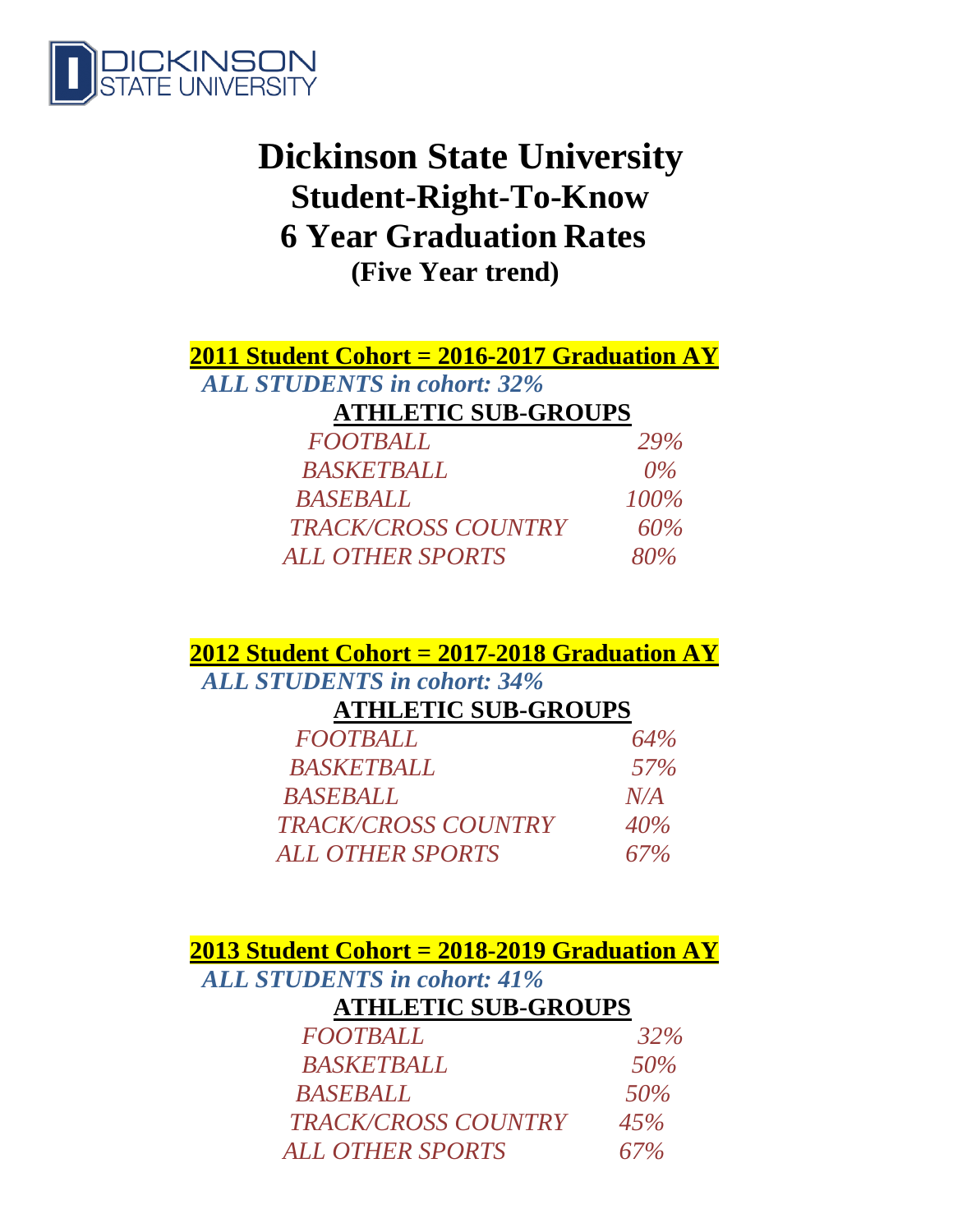

# **Dickinson State University Student-Right-To-Know 6 Year Graduation Rates (Five Year trend)**

|                                    |  | <b>2011 Student Cohort = 2016-2017 Graduation AY</b> |  |
|------------------------------------|--|------------------------------------------------------|--|
| <b>ALL STUDENTS in cohort: 32%</b> |  |                                                      |  |

## **ATHLETIC SUB-GROUPS**

| <b>FOOTBALL</b>            | <b>29%</b> |
|----------------------------|------------|
| <b>BASKETBALL</b>          | $0\%$      |
| <b>BASEBALL</b>            | $100\%$    |
| <b>TRACK/CROSS COUNTRY</b> | 60%        |
| <b>ALL OTHER SPORTS</b>    | 80%        |

**2012 Student Cohort = 2017-2018 Graduation AY**

# *ALL STUDENTS in cohort: 34%*

### **ATHLETIC SUB-GROUPS**

| <b>FOOTBALL</b>            | 64% |
|----------------------------|-----|
| <b>BASKETBALL</b>          | 57% |
| <b>BASEBALL</b>            | N/A |
| <b>TRACK/CROSS COUNTRY</b> | 40% |
| <b>ALL OTHER SPORTS</b>    | 67% |

**2013 Student Cohort = 2018-2019 Graduation AY**

*ALL STUDENTS in cohort: 41%*

# **ATHLETIC SUB-GROUPS**

| <b>FOOTBALL</b>            | 32% |
|----------------------------|-----|
| <b>BASKETBALL</b>          | 50% |
| <b>BASEBALL</b>            | 50% |
| <b>TRACK/CROSS COUNTRY</b> | 45% |
| <b>ALL OTHER SPORTS</b>    | 67% |